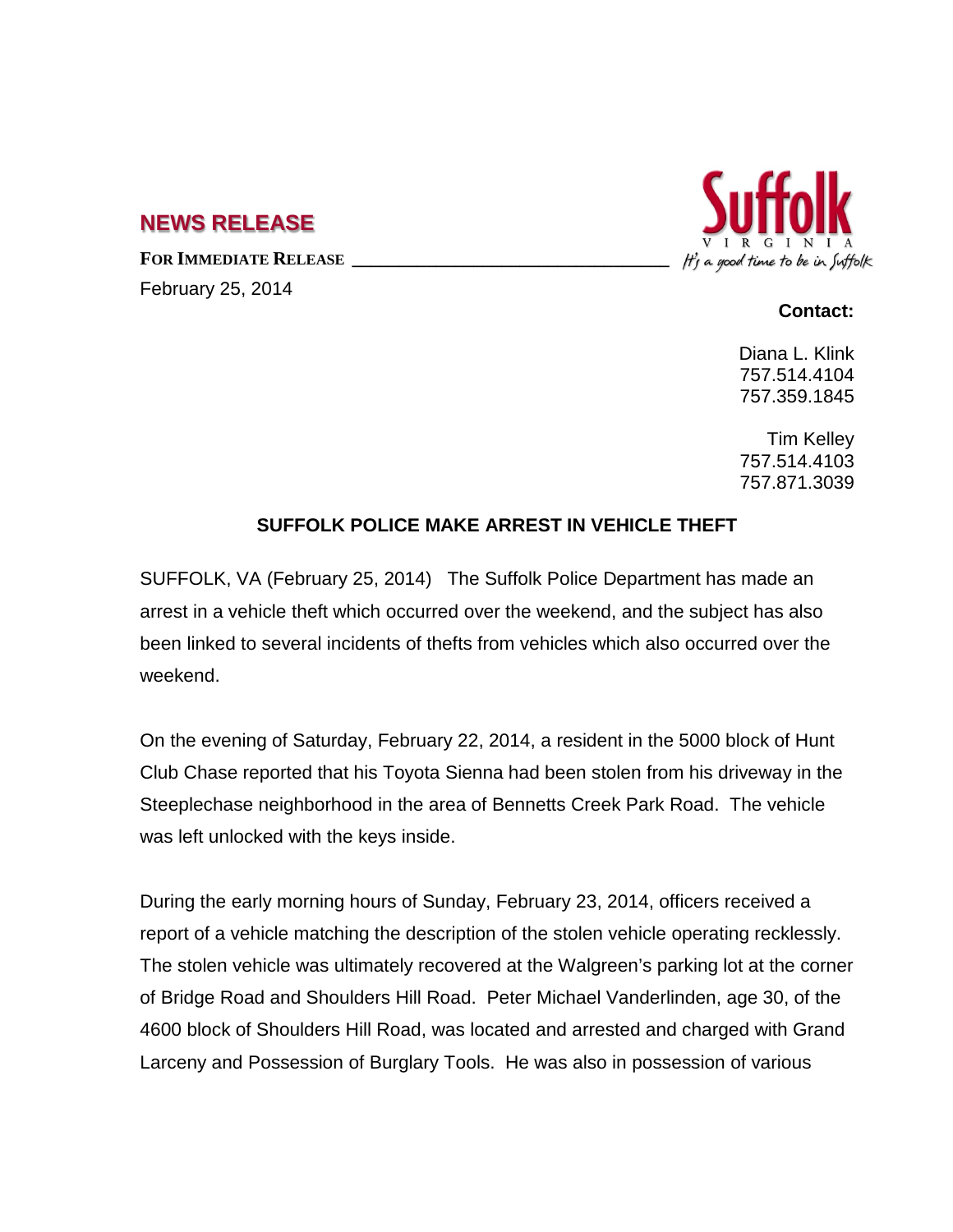## **NEWS RELEASE**

FOR **IMMEDIATE RELEASE** 

February 25, 2014



## **Contact:**

Diana L. Klink 757.514.4104 757.359.1845

Tim Kelley 757.514.4103 757.871.3039

## **SUFFOLK POLICE MAKE ARREST IN VEHICLE THEFT**

SUFFOLK, VA (February 25, 2014) The Suffolk Police Department has made an arrest in a vehicle theft which occurred over the weekend, and the subject has also been linked to several incidents of thefts from vehicles which also occurred over the weekend.

On the evening of Saturday, February 22, 2014, a resident in the 5000 block of Hunt Club Chase reported that his Toyota Sienna had been stolen from his driveway in the Steeplechase neighborhood in the area of Bennetts Creek Park Road. The vehicle was left unlocked with the keys inside.

During the early morning hours of Sunday, February 23, 2014, officers received a report of a vehicle matching the description of the stolen vehicle operating recklessly. The stolen vehicle was ultimately recovered at the Walgreen's parking lot at the corner of Bridge Road and Shoulders Hill Road. Peter Michael Vanderlinden, age 30, of the 4600 block of Shoulders Hill Road, was located and arrested and charged with Grand Larceny and Possession of Burglary Tools. He was also in possession of various